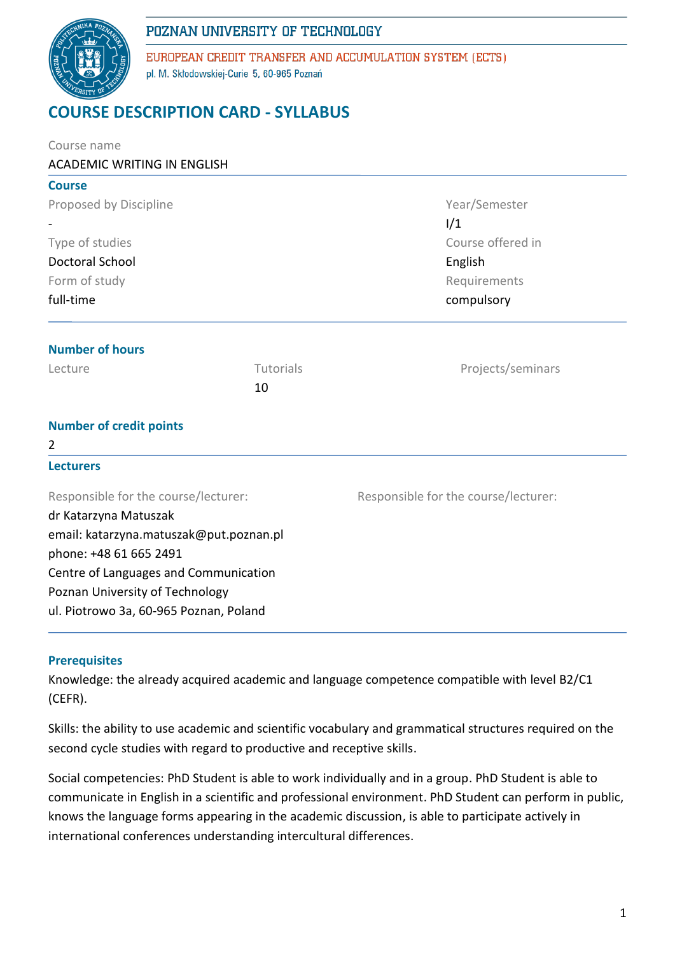

EUROPEAN CREDIT TRANSFER AND ACCUMULATION SYSTEM (ECTS) pl. M. Skłodowskiej-Curie 5, 60-965 Poznań

# **COURSE DESCRIPTION CARD - SYLLABUS**

| Course name                             |           |                                      |  |  |  |  |
|-----------------------------------------|-----------|--------------------------------------|--|--|--|--|
| <b>ACADEMIC WRITING IN ENGLISH</b>      |           |                                      |  |  |  |  |
| <b>Course</b>                           |           |                                      |  |  |  |  |
| Proposed by Discipline                  |           | Year/Semester                        |  |  |  |  |
|                                         |           | 1/1                                  |  |  |  |  |
| Type of studies                         |           | Course offered in<br>English         |  |  |  |  |
| Doctoral School                         |           |                                      |  |  |  |  |
| Form of study                           |           | Requirements                         |  |  |  |  |
| full-time                               |           | compulsory                           |  |  |  |  |
| <b>Number of hours</b>                  |           |                                      |  |  |  |  |
| Lecture                                 | Tutorials | Projects/seminars                    |  |  |  |  |
|                                         | 10        |                                      |  |  |  |  |
| <b>Number of credit points</b>          |           |                                      |  |  |  |  |
| 2                                       |           |                                      |  |  |  |  |
| <b>Lecturers</b>                        |           |                                      |  |  |  |  |
| Responsible for the course/lecturer:    |           | Responsible for the course/lecturer: |  |  |  |  |
| dr Katarzyna Matuszak                   |           |                                      |  |  |  |  |
| email: katarzyna.matuszak@put.poznan.pl |           |                                      |  |  |  |  |
| phone: +48 61 665 2491                  |           |                                      |  |  |  |  |
| Centre of Languages and Communication   |           |                                      |  |  |  |  |
| Poznan University of Technology         |           |                                      |  |  |  |  |
| ul. Piotrowo 3a, 60-965 Poznan, Poland  |           |                                      |  |  |  |  |
|                                         |           |                                      |  |  |  |  |

### **Prerequisites**

Knowledge: the already acquired academic and language competence compatible with level B2/C1 (CEFR).

Skills: the ability to use academic and scientific vocabulary and grammatical structures required on the second cycle studies with regard to productive and receptive skills.

Social competencies: PhD Student is able to work individually and in a group. PhD Student is able to communicate in English in a scientific and professional environment. PhD Student can perform in public, knows the language forms appearing in the academic discussion, is able to participate actively in international conferences understanding intercultural differences.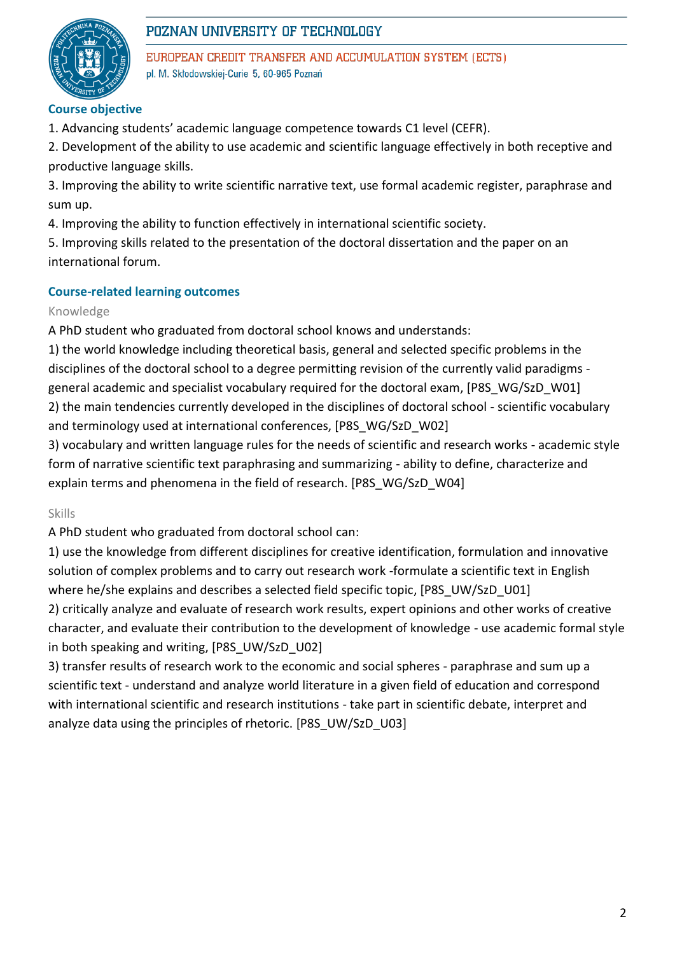

EUROPEAN CREDIT TRANSFER AND ACCUMULATION SYSTEM (ECTS) pl. M. Skłodowskiej-Curie 5, 60-965 Poznań

# **Course objective**

1. Advancing students' academic language competence towards C1 level (CEFR).

2. Development of the ability to use academic and scientific language effectively in both receptive and productive language skills.

3. Improving the ability to write scientific narrative text, use formal academic register, paraphrase and sum up.

4. Improving the ability to function effectively in international scientific society.

5. Improving skills related to the presentation of the doctoral dissertation and the paper on an international forum.

# **Course-related learning outcomes**

#### Knowledge

A PhD student who graduated from doctoral school knows and understands:

1) the world knowledge including theoretical basis, general and selected specific problems in the disciplines of the doctoral school to a degree permitting revision of the currently valid paradigms general academic and specialist vocabulary required for the doctoral exam, [P8S\_WG/SzD\_W01]

2) the main tendencies currently developed in the disciplines of doctoral school - scientific vocabulary and terminology used at international conferences, [P8S\_WG/SzD\_W02]

3) vocabulary and written language rules for the needs of scientific and research works - academic style form of narrative scientific text paraphrasing and summarizing - ability to define, characterize and explain terms and phenomena in the field of research. [P8S\_WG/SzD\_W04]

Skills

A PhD student who graduated from doctoral school can:

1) use the knowledge from different disciplines for creative identification, formulation and innovative solution of complex problems and to carry out research work -formulate a scientific text in English where he/she explains and describes a selected field specific topic, [P8S\_UW/SzD\_U01]

2) critically analyze and evaluate of research work results, expert opinions and other works of creative character, and evaluate their contribution to the development of knowledge - use academic formal style in both speaking and writing, [P8S\_UW/SzD\_U02]

3) transfer results of research work to the economic and social spheres - paraphrase and sum up a scientific text - understand and analyze world literature in a given field of education and correspond with international scientific and research institutions - take part in scientific debate, interpret and analyze data using the principles of rhetoric. [P8S\_UW/SzD\_U03]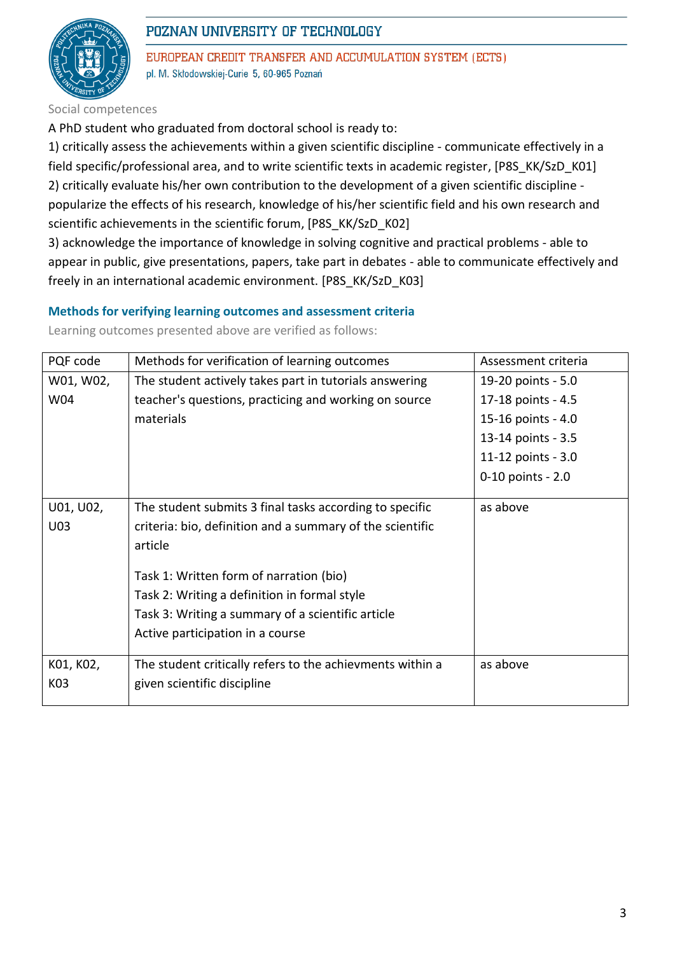

EUROPEAN CREDIT TRANSFER AND ACCUMULATION SYSTEM (ECTS) pl. M. Skłodowskiej-Curie 5, 60-965 Poznań

Social competences

A PhD student who graduated from doctoral school is ready to:

1) critically assess the achievements within a given scientific discipline - communicate effectively in a field specific/professional area, and to write scientific texts in academic register, [P8S\_KK/SzD\_K01] 2) critically evaluate his/her own contribution to the development of a given scientific discipline popularize the effects of his research, knowledge of his/her scientific field and his own research and scientific achievements in the scientific forum, [P8S\_KK/SzD\_K02]

3) acknowledge the importance of knowledge in solving cognitive and practical problems - able to appear in public, give presentations, papers, take part in debates - able to communicate effectively and freely in an international academic environment. [P8S\_KK/SzD\_K03]

#### **Methods for verifying learning outcomes and assessment criteria**

| PQF code  | Methods for verification of learning outcomes             | Assessment criteria |
|-----------|-----------------------------------------------------------|---------------------|
| W01, W02, | The student actively takes part in tutorials answering    | 19-20 points - 5.0  |
| W04       | teacher's questions, practicing and working on source     | 17-18 points - 4.5  |
|           | materials                                                 | 15-16 points - 4.0  |
|           |                                                           | 13-14 points - 3.5  |
|           |                                                           | 11-12 points - 3.0  |
|           |                                                           | 0-10 points - 2.0   |
|           |                                                           |                     |
| U01, U02, | The student submits 3 final tasks according to specific   | as above            |
| U03       | criteria: bio, definition and a summary of the scientific |                     |
|           | article                                                   |                     |
|           | Task 1: Written form of narration (bio)                   |                     |
|           |                                                           |                     |
|           | Task 2: Writing a definition in formal style              |                     |
|           | Task 3: Writing a summary of a scientific article         |                     |
|           | Active participation in a course                          |                     |
|           |                                                           |                     |
| K01, K02, | The student critically refers to the achievments within a | as above            |
| K03       | given scientific discipline                               |                     |
|           |                                                           |                     |

Learning outcomes presented above are verified as follows: